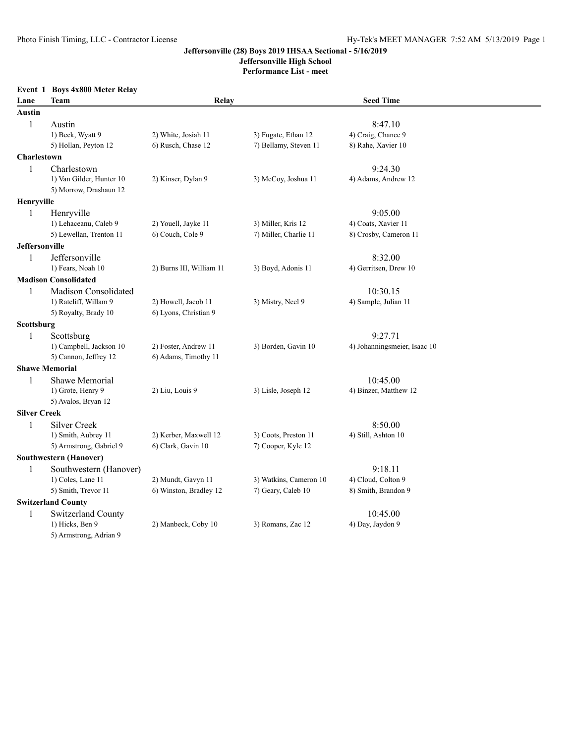**Jeffersonville High School**

**Performance List - meet**

|                       | Event 1 Boys 4x800 Meter Relay |                          |                        |                              |  |  |
|-----------------------|--------------------------------|--------------------------|------------------------|------------------------------|--|--|
| Lane                  | Team                           | Relay                    |                        | <b>Seed Time</b>             |  |  |
| <b>Austin</b>         |                                |                          |                        |                              |  |  |
| $\mathbf{1}$          | Austin                         |                          |                        | 8:47.10                      |  |  |
|                       | 1) Beck, Wyatt 9               | 2) White, Josiah 11      | 3) Fugate, Ethan 12    | 4) Craig, Chance 9           |  |  |
|                       | 5) Hollan, Peyton 12           | 6) Rusch, Chase 12       | 7) Bellamy, Steven 11  | 8) Rahe, Xavier 10           |  |  |
| Charlestown           |                                |                          |                        |                              |  |  |
| $\mathbf{1}$          | Charlestown                    |                          |                        | 9:24.30                      |  |  |
|                       | 1) Van Gilder, Hunter 10       | 2) Kinser, Dylan 9       | 3) McCoy, Joshua 11    | 4) Adams, Andrew 12          |  |  |
|                       | 5) Morrow, Drashaun 12         |                          |                        |                              |  |  |
| Henryville            |                                |                          |                        |                              |  |  |
| 1                     | Henryville                     |                          |                        | 9:05.00                      |  |  |
|                       | 1) Lehaceanu, Caleb 9          | 2) Youell, Jayke 11      | 3) Miller, Kris 12     | 4) Coats, Xavier 11          |  |  |
|                       | 5) Lewellan, Trenton 11        | 6) Couch, Cole 9         | 7) Miller, Charlie 11  | 8) Crosby, Cameron 11        |  |  |
| <b>Jeffersonville</b> |                                |                          |                        |                              |  |  |
| $\mathbf{1}$          | Jeffersonville                 |                          |                        | 8:32.00                      |  |  |
|                       | 1) Fears, Noah 10              | 2) Burns III, William 11 | 3) Boyd, Adonis 11     | 4) Gerritsen, Drew 10        |  |  |
|                       | <b>Madison Consolidated</b>    |                          |                        |                              |  |  |
| $\mathbf{1}$          | Madison Consolidated           |                          |                        | 10:30.15                     |  |  |
|                       | 1) Ratcliff, Willam 9          | 2) Howell, Jacob 11      | 3) Mistry, Neel 9      | 4) Sample, Julian 11         |  |  |
|                       | 5) Royalty, Brady 10           | 6) Lyons, Christian 9    |                        |                              |  |  |
| Scottsburg            |                                |                          |                        |                              |  |  |
| $\mathbf{1}$          | Scottsburg                     |                          |                        | 9:27.71                      |  |  |
|                       | 1) Campbell, Jackson 10        | 2) Foster, Andrew 11     | 3) Borden, Gavin 10    | 4) Johanningsmeier, Isaac 10 |  |  |
|                       | 5) Cannon, Jeffrey 12          | 6) Adams, Timothy 11     |                        |                              |  |  |
| <b>Shawe Memorial</b> |                                |                          |                        |                              |  |  |
| 1                     | Shawe Memorial                 |                          |                        | 10:45.00                     |  |  |
|                       | 1) Grote, Henry 9              | 2) Liu, Louis 9          | 3) Lisle, Joseph 12    | 4) Binzer, Matthew 12        |  |  |
|                       | 5) Avalos, Bryan 12            |                          |                        |                              |  |  |
| <b>Silver Creek</b>   |                                |                          |                        |                              |  |  |
| $\mathbf{1}$          | Silver Creek                   |                          |                        | 8:50.00                      |  |  |
|                       | 1) Smith, Aubrey 11            | 2) Kerber, Maxwell 12    | 3) Coots, Preston 11   | 4) Still, Ashton 10          |  |  |
|                       | 5) Armstrong, Gabriel 9        | 6) Clark, Gavin 10       | 7) Cooper, Kyle 12     |                              |  |  |
|                       | <b>Southwestern (Hanover)</b>  |                          |                        |                              |  |  |
| $\mathbf{1}$          | Southwestern (Hanover)         |                          |                        | 9:18.11                      |  |  |
|                       | 1) Coles, Lane 11              | 2) Mundt, Gavyn 11       | 3) Watkins, Cameron 10 | 4) Cloud, Colton 9           |  |  |
|                       | 5) Smith, Trevor 11            | 6) Winston, Bradley 12   | 7) Geary, Caleb 10     | 8) Smith, Brandon 9          |  |  |
|                       | <b>Switzerland County</b>      |                          |                        |                              |  |  |
| 1                     | Switzerland County             |                          |                        | 10:45.00                     |  |  |
|                       | 1) Hicks, Ben 9                | 2) Manbeck, Coby 10      | 3) Romans, Zac 12      | 4) Day, Jaydon 9             |  |  |
|                       | 5) Armstrong, Adrian 9         |                          |                        |                              |  |  |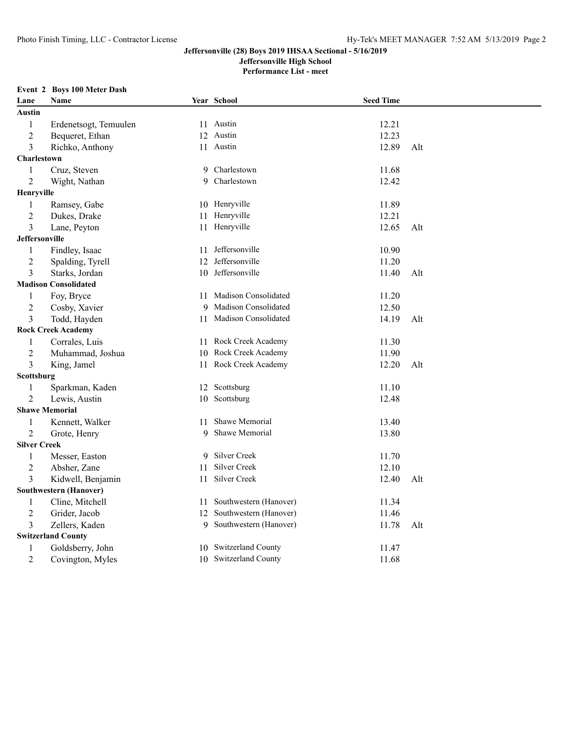**Jeffersonville High School**

**Performance List - meet**

#### **Event 2 Boys 100 Meter Dash**

| Lane                | Name                          |    | Year School             | <b>Seed Time</b> |     |
|---------------------|-------------------------------|----|-------------------------|------------------|-----|
| Austin              |                               |    |                         |                  |     |
| $\mathbf{1}$        | Erdenetsogt, Temuulen         |    | 11 Austin               | 12.21            |     |
| $\overline{2}$      | Bequeret, Ethan               |    | 12 Austin               | 12.23            |     |
| 3                   | Richko, Anthony               |    | 11 Austin               | 12.89            | Alt |
| <b>Charlestown</b>  |                               |    |                         |                  |     |
| $\mathbf{1}$        | Cruz, Steven                  | 9  | Charlestown             | 11.68            |     |
| $\overline{2}$      | Wight, Nathan                 | 9  | Charlestown             | 12.42            |     |
| Henryville          |                               |    |                         |                  |     |
| $\mathbf{1}$        | Ramsey, Gabe                  |    | 10 Henryville           | 11.89            |     |
| $\overline{2}$      | Dukes, Drake                  | 11 | Henryville              | 12.21            |     |
| 3                   | Lane, Peyton                  |    | 11 Henryville           | 12.65            | Alt |
| Jeffersonville      |                               |    |                         |                  |     |
| $\mathbf{1}$        | Findley, Isaac                |    | 11 Jeffersonville       | 10.90            |     |
| $\overline{c}$      | Spalding, Tyrell              | 12 | Jeffersonville          | 11.20            |     |
| 3                   | Starks, Jordan                | 10 | Jeffersonville          | 11.40            | Alt |
|                     | <b>Madison Consolidated</b>   |    |                         |                  |     |
| $\mathbf{1}$        | Foy, Bryce                    | 11 | Madison Consolidated    | 11.20            |     |
| $\overline{2}$      | Cosby, Xavier                 | 9  | Madison Consolidated    | 12.50            |     |
| 3                   | Todd, Hayden                  |    | 11 Madison Consolidated | 14.19            | Alt |
|                     | <b>Rock Creek Academy</b>     |    |                         |                  |     |
| $\mathbf{1}$        | Corrales, Luis                | 11 | Rock Creek Academy      | 11.30            |     |
| $\overline{2}$      | Muhammad, Joshua              | 10 | Rock Creek Academy      | 11.90            |     |
| 3                   | King, Jamel                   |    | 11 Rock Creek Academy   | 12.20            | Alt |
| Scottsburg          |                               |    |                         |                  |     |
| $\mathbf{1}$        | Sparkman, Kaden               | 12 | Scottsburg              | 11.10            |     |
| $\overline{2}$      | Lewis, Austin                 |    | 10 Scottsburg           | 12.48            |     |
|                     | <b>Shawe Memorial</b>         |    |                         |                  |     |
| $\mathbf{1}$        | Kennett, Walker               | 11 | Shawe Memorial          | 13.40            |     |
| $\overline{2}$      | Grote, Henry                  | 9  | Shawe Memorial          | 13.80            |     |
| <b>Silver Creek</b> |                               |    |                         |                  |     |
| $\mathbf{1}$        | Messer, Easton                |    | 9 Silver Creek          | 11.70            |     |
| $\overline{2}$      | Absher, Zane                  | 11 | Silver Creek            | 12.10            |     |
| 3                   | Kidwell, Benjamin             | 11 | Silver Creek            | 12.40            | Alt |
|                     | <b>Southwestern (Hanover)</b> |    |                         |                  |     |
| 1                   | Cline, Mitchell               | 11 | Southwestern (Hanover)  | 11.34            |     |
| $\overline{c}$      | Grider, Jacob                 | 12 | Southwestern (Hanover)  | 11.46            |     |
| 3                   | Zellers, Kaden                | 9  | Southwestern (Hanover)  | 11.78            | Alt |
|                     | <b>Switzerland County</b>     |    |                         |                  |     |
| 1                   | Goldsberry, John              |    | 10 Switzerland County   | 11.47            |     |
| $\overline{2}$      | Covington, Myles              |    | 10 Switzerland County   | 11.68            |     |
|                     |                               |    |                         |                  |     |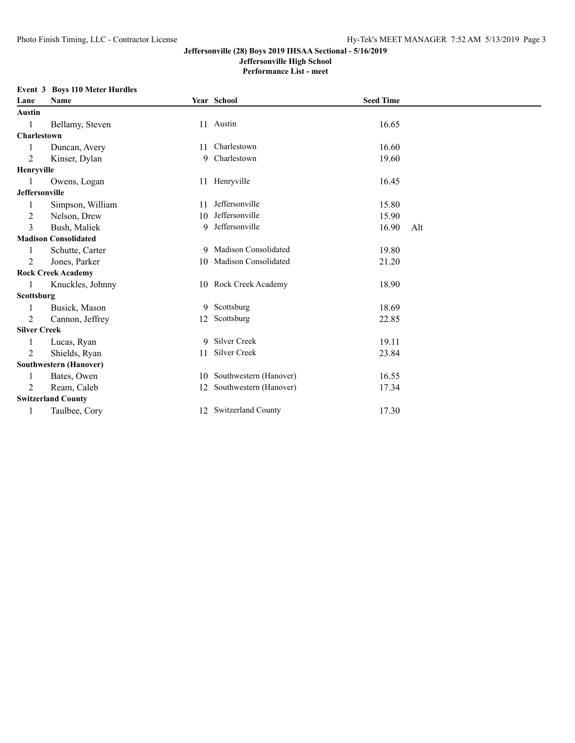# **Jeffersonville High School**

**Performance List - meet**

#### **Event 3 Boys 110 Meter Hurdles**

| Lane                | Name                          |    | Year School               | <b>Seed Time</b> |     |
|---------------------|-------------------------------|----|---------------------------|------------------|-----|
| Austin              |                               |    |                           |                  |     |
| 1                   | Bellamy, Steven               |    | 11 Austin                 | 16.65            |     |
| Charlestown         |                               |    |                           |                  |     |
| 1                   | Duncan, Avery                 | 11 | Charlestown               | 16.60            |     |
| 2                   | Kinser, Dylan                 |    | 9 Charlestown             | 19.60            |     |
| Henryville          |                               |    |                           |                  |     |
|                     | Owens, Logan                  |    | 11 Henryville             | 16.45            |     |
| Jeffersonville      |                               |    |                           |                  |     |
|                     | Simpson, William              | 11 | Jeffersonville            | 15.80            |     |
| 2                   | Nelson, Drew                  | 10 | Jeffersonville            | 15.90            |     |
| 3                   | Bush, Maliek                  | 9  | Jeffersonville            | 16.90            | Alt |
|                     | <b>Madison Consolidated</b>   |    |                           |                  |     |
|                     | Schutte, Carter               |    | 9 Madison Consolidated    | 19.80            |     |
| 2                   | Jones, Parker                 |    | 10 Madison Consolidated   | 21.20            |     |
|                     | <b>Rock Creek Academy</b>     |    |                           |                  |     |
|                     | Knuckles, Johnny              |    | 10 Rock Creek Academy     | 18.90            |     |
| Scottsburg          |                               |    |                           |                  |     |
| 1                   | Busick, Mason                 |    | 9 Scottsburg              | 18.69            |     |
| 2                   | Cannon, Jeffrey               | 12 | Scottsburg                | 22.85            |     |
| <b>Silver Creek</b> |                               |    |                           |                  |     |
| 1                   | Lucas, Ryan                   | 9  | Silver Creek              | 19.11            |     |
| 2                   | Shields, Ryan                 | 11 | Silver Creek              | 23.84            |     |
|                     | <b>Southwestern (Hanover)</b> |    |                           |                  |     |
| 1                   | Bates, Owen                   |    | 10 Southwestern (Hanover) | 16.55            |     |
| 2                   | Ream, Caleb                   | 12 | Southwestern (Hanover)    | 17.34            |     |
|                     | <b>Switzerland County</b>     |    |                           |                  |     |
|                     | Taulbee, Cory                 |    | 12 Switzerland County     | 17.30            |     |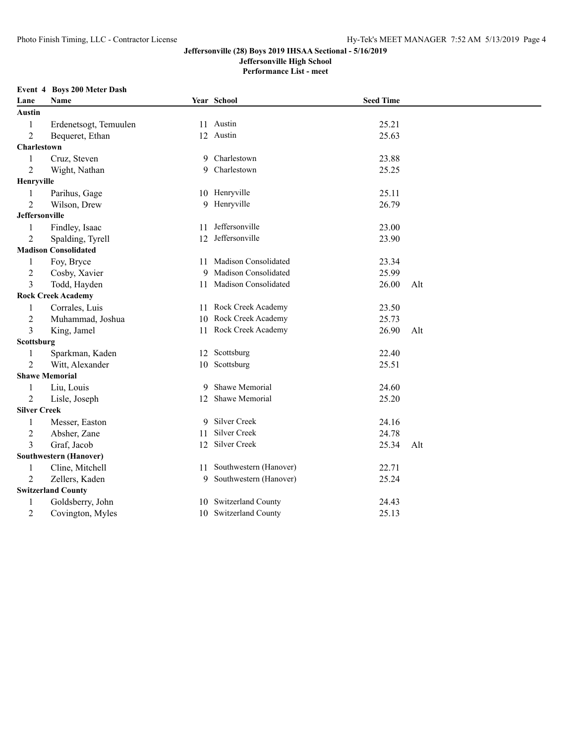**Jeffersonville High School**

**Performance List - meet**

#### **Event 4 Boys 200 Meter Dash**

| Lane                  | Name                        |    | Year School               | <b>Seed Time</b> |     |
|-----------------------|-----------------------------|----|---------------------------|------------------|-----|
| Austin                |                             |    |                           |                  |     |
| 1                     | Erdenetsogt, Temuulen       |    | 11 Austin                 | 25.21            |     |
| $\overline{2}$        | Bequeret, Ethan             |    | 12 Austin                 | 25.63            |     |
| Charlestown           |                             |    |                           |                  |     |
| $\mathbf{1}$          | Cruz, Steven                | 9  | Charlestown               | 23.88            |     |
| $\overline{2}$        | Wight, Nathan               | 9  | Charlestown               | 25.25            |     |
| Henryville            |                             |    |                           |                  |     |
| 1                     | Parihus, Gage               |    | 10 Henryville             | 25.11            |     |
| $\overline{2}$        | Wilson, Drew                |    | 9 Henryville              | 26.79            |     |
| <b>Jeffersonville</b> |                             |    |                           |                  |     |
| 1                     | Findley, Isaac              | 11 | Jeffersonville            | 23.00            |     |
| $\overline{2}$        | Spalding, Tyrell            |    | 12 Jeffersonville         | 23.90            |     |
|                       | <b>Madison Consolidated</b> |    |                           |                  |     |
| 1                     | Foy, Bryce                  |    | 11 Madison Consolidated   | 23.34            |     |
| $\overline{c}$        | Cosby, Xavier               |    | 9 Madison Consolidated    | 25.99            |     |
| 3                     | Todd, Hayden                |    | 11 Madison Consolidated   | 26.00            | Alt |
|                       | <b>Rock Creek Academy</b>   |    |                           |                  |     |
| 1                     | Corrales, Luis              |    | 11 Rock Creek Academy     | 23.50            |     |
| $\overline{c}$        | Muhammad, Joshua            |    | 10 Rock Creek Academy     | 25.73            |     |
| 3                     | King, Jamel                 |    | 11 Rock Creek Academy     | 26.90            | Alt |
| Scottsburg            |                             |    |                           |                  |     |
| $\mathbf{1}$          | Sparkman, Kaden             |    | 12 Scottsburg             | 22.40            |     |
| $\overline{2}$        | Witt, Alexander             |    | 10 Scottsburg             | 25.51            |     |
|                       | <b>Shawe Memorial</b>       |    |                           |                  |     |
| 1                     | Liu, Louis                  |    | 9 Shawe Memorial          | 24.60            |     |
| $\overline{2}$        | Lisle, Joseph               |    | 12 Shawe Memorial         | 25.20            |     |
| <b>Silver Creek</b>   |                             |    |                           |                  |     |
| 1                     | Messer, Easton              | 9. | Silver Creek              | 24.16            |     |
| $\overline{2}$        | Absher, Zane                | 11 | Silver Creek              | 24.78            |     |
| 3                     | Graf, Jacob                 |    | 12 Silver Creek           | 25.34            | Alt |
|                       | Southwestern (Hanover)      |    |                           |                  |     |
| 1                     | Cline, Mitchell             |    | 11 Southwestern (Hanover) | 22.71            |     |
| 2                     | Zellers, Kaden              |    | 9 Southwestern (Hanover)  | 25.24            |     |
|                       | <b>Switzerland County</b>   |    |                           |                  |     |
| $\mathbf{1}$          | Goldsberry, John            |    | 10 Switzerland County     | 24.43            |     |
| $\overline{2}$        | Covington, Myles            |    | 10 Switzerland County     | 25.13            |     |
|                       |                             |    |                           |                  |     |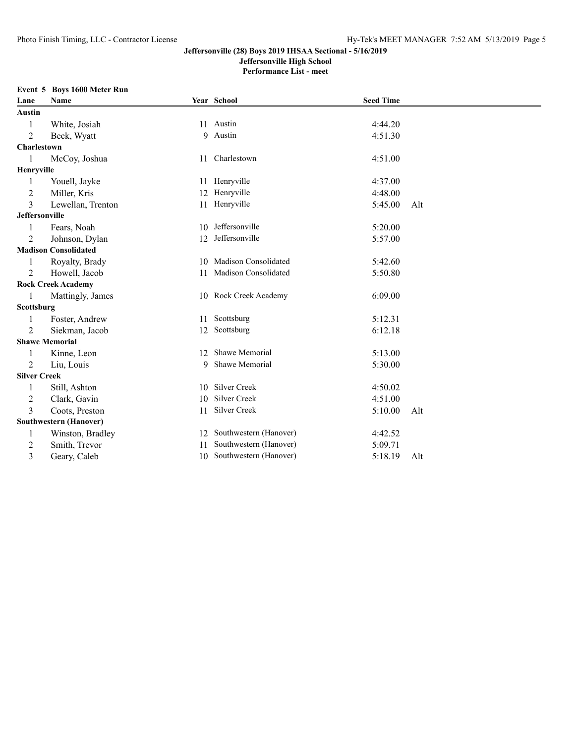## **Jeffersonville High School**

**Performance List - meet**

## **Event 5 Boys 1600 Meter Run**

| Lane                | Name                        |     | Year School               | <b>Seed Time</b> |     |
|---------------------|-----------------------------|-----|---------------------------|------------------|-----|
| Austin              |                             |     |                           |                  |     |
| 1                   | White, Josiah               |     | 11 Austin                 | 4:44.20          |     |
| 2                   | Beck, Wyatt                 |     | 9 Austin                  | 4:51.30          |     |
| Charlestown         |                             |     |                           |                  |     |
| 1                   | McCoy, Joshua               |     | 11 Charlestown            | 4:51.00          |     |
| Henryville          |                             |     |                           |                  |     |
| 1                   | Youell, Jayke               |     | 11 Henryville             | 4:37.00          |     |
| $\overline{2}$      | Miller, Kris                |     | 12 Henryville             | 4:48.00          |     |
| 3                   | Lewellan, Trenton           |     | 11 Henryville             | 5:45.00          | Alt |
| Jeffersonville      |                             |     |                           |                  |     |
| 1                   | Fears, Noah                 | 10  | Jeffersonville            | 5:20.00          |     |
| 2                   | Johnson, Dylan              | 12  | Jeffersonville            | 5:57.00          |     |
|                     | <b>Madison Consolidated</b> |     |                           |                  |     |
| 1                   | Royalty, Brady              | 10  | Madison Consolidated      | 5:42.60          |     |
| 2                   | Howell, Jacob               | 11  | Madison Consolidated      | 5:50.80          |     |
|                     | <b>Rock Creek Academy</b>   |     |                           |                  |     |
|                     | Mattingly, James            |     | 10 Rock Creek Academy     | 6:09.00          |     |
| Scottsburg          |                             |     |                           |                  |     |
| 1                   | Foster, Andrew              |     | 11 Scottsburg             | 5:12.31          |     |
| $\overline{2}$      | Siekman, Jacob              |     | 12 Scottsburg             | 6:12.18          |     |
|                     | <b>Shawe Memorial</b>       |     |                           |                  |     |
|                     | Kinne, Leon                 | 12. | Shawe Memorial            | 5:13.00          |     |
| 2                   | Liu, Louis                  | 9   | Shawe Memorial            | 5:30.00          |     |
| <b>Silver Creek</b> |                             |     |                           |                  |     |
|                     | Still, Ashton               | 10  | Silver Creek              | 4:50.02          |     |
| 2                   | Clark, Gavin                | 10  | Silver Creek              | 4:51.00          |     |
| 3                   | Coots, Preston              | 11  | Silver Creek              | 5:10.00          | Alt |
|                     | Southwestern (Hanover)      |     |                           |                  |     |
| 1                   | Winston, Bradley            |     | 12 Southwestern (Hanover) | 4:42.52          |     |
| 2                   | Smith, Trevor               | 11  | Southwestern (Hanover)    | 5:09.71          |     |
| 3                   | Geary, Caleb                |     | 10 Southwestern (Hanover) | 5:18.19          | Alt |
|                     |                             |     |                           |                  |     |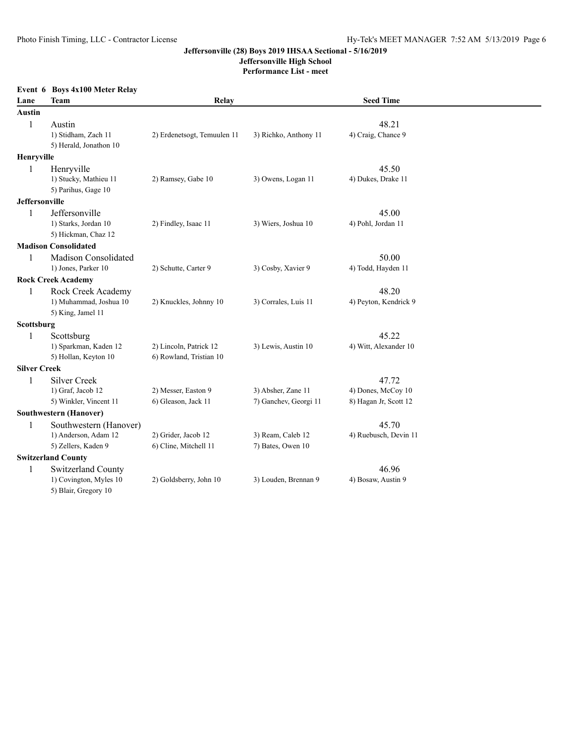**Jeffersonville High School**

**Performance List - meet**

|                       | Event 6 Boys 4x100 Meter Relay                                        |                                                   |                                             |                                                      |  |
|-----------------------|-----------------------------------------------------------------------|---------------------------------------------------|---------------------------------------------|------------------------------------------------------|--|
| Lane                  | Team                                                                  | Relay                                             |                                             | <b>Seed Time</b>                                     |  |
| <b>Austin</b>         |                                                                       |                                                   |                                             |                                                      |  |
| 1                     | Austin<br>1) Stidham, Zach 11<br>5) Herald, Jonathon 10               | 2) Erdenetsogt, Temuulen 11                       | 3) Richko, Anthony 11                       | 48.21<br>4) Craig, Chance 9                          |  |
| Henryville            |                                                                       |                                                   |                                             |                                                      |  |
| 1                     | Henryville                                                            |                                                   |                                             | 45.50                                                |  |
|                       | 1) Stucky, Mathieu 11<br>5) Parihus, Gage 10                          | 2) Ramsey, Gabe 10                                | 3) Owens, Logan 11                          | 4) Dukes, Drake 11                                   |  |
| <b>Jeffersonville</b> |                                                                       |                                                   |                                             |                                                      |  |
| 1                     | Jeffersonville<br>1) Starks, Jordan 10<br>5) Hickman, Chaz 12         | 2) Findley, Isaac 11                              | 3) Wiers, Joshua 10                         | 45.00<br>4) Pohl, Jordan 11                          |  |
|                       | <b>Madison Consolidated</b>                                           |                                                   |                                             |                                                      |  |
| 1                     | Madison Consolidated<br>1) Jones, Parker 10                           | 2) Schutte, Carter 9                              | 3) Cosby, Xavier 9                          | 50.00<br>4) Todd, Hayden 11                          |  |
|                       | <b>Rock Creek Academy</b>                                             |                                                   |                                             |                                                      |  |
| $\mathbf{1}$          | Rock Creek Academy<br>1) Muhammad, Joshua 10<br>5) King, Jamel 11     | 2) Knuckles, Johnny 10                            | 3) Corrales, Luis 11                        | 48.20<br>4) Peyton, Kendrick 9                       |  |
| Scottsburg            |                                                                       |                                                   |                                             |                                                      |  |
| 1                     | Scottsburg<br>1) Sparkman, Kaden 12<br>5) Hollan, Keyton 10           | 2) Lincoln, Patrick 12<br>6) Rowland, Tristian 10 | 3) Lewis, Austin 10                         | 45.22<br>4) Witt, Alexander 10                       |  |
| <b>Silver Creek</b>   |                                                                       |                                                   |                                             |                                                      |  |
| $\mathbf{1}$          | Silver Creek<br>1) Graf, Jacob 12<br>5) Winkler, Vincent 11           | 2) Messer, Easton 9<br>6) Gleason, Jack 11        | 3) Absher, Zane 11<br>7) Ganchev, Georgi 11 | 47.72<br>4) Dones, McCoy 10<br>8) Hagan Jr, Scott 12 |  |
|                       | Southwestern (Hanover)                                                |                                                   |                                             |                                                      |  |
| 1                     | Southwestern (Hanover)<br>1) Anderson, Adam 12<br>5) Zellers, Kaden 9 | 2) Grider, Jacob 12<br>6) Cline, Mitchell 11      | 3) Ream, Caleb 12<br>7) Bates, Owen 10      | 45.70<br>4) Ruebusch, Devin 11                       |  |
|                       | <b>Switzerland County</b>                                             |                                                   |                                             |                                                      |  |
| 1                     | Switzerland County<br>1) Covington, Myles 10<br>5) Blair, Gregory 10  | 2) Goldsberry, John 10                            | 3) Louden, Brennan 9                        | 46.96<br>4) Bosaw, Austin 9                          |  |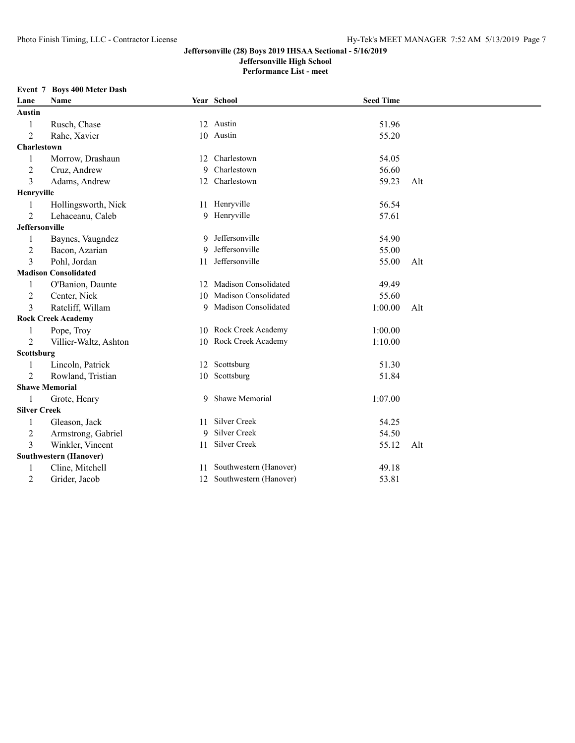# **Jeffersonville High School**

**Performance List - meet**

## **Event 7 Boys 400 Meter Dash**

| Lane                  | Name                        |    | Year School               | <b>Seed Time</b> |     |  |
|-----------------------|-----------------------------|----|---------------------------|------------------|-----|--|
| Austin                |                             |    |                           |                  |     |  |
| 1                     | Rusch, Chase                |    | 12 Austin                 | 51.96            |     |  |
| $\overline{2}$        | Rahe, Xavier                |    | 10 Austin                 | 55.20            |     |  |
| Charlestown           |                             |    |                           |                  |     |  |
| 1                     | Morrow, Drashaun            | 12 | Charlestown               | 54.05            |     |  |
| $\overline{2}$        | Cruz, Andrew                | 9  | Charlestown               | 56.60            |     |  |
| 3                     | Adams, Andrew               |    | 12 Charlestown            | 59.23            | Alt |  |
| Henryville            |                             |    |                           |                  |     |  |
| 1                     | Hollingsworth, Nick         |    | 11 Henryville             | 56.54            |     |  |
| 2                     | Lehaceanu, Caleb            |    | 9 Henryville              | 57.61            |     |  |
| <b>Jeffersonville</b> |                             |    |                           |                  |     |  |
| 1                     | Baynes, Vaugndez            | 9  | Jeffersonville            | 54.90            |     |  |
| $\overline{2}$        | Bacon, Azarian              | 9  | Jeffersonville            | 55.00            |     |  |
| 3                     | Pohl, Jordan                | 11 | Jeffersonville            | 55.00            | Alt |  |
|                       | <b>Madison Consolidated</b> |    |                           |                  |     |  |
| 1                     | O'Banion, Daunte            |    | 12 Madison Consolidated   | 49.49            |     |  |
| $\overline{2}$        | Center, Nick                | 10 | Madison Consolidated      | 55.60            |     |  |
| 3                     | Ratcliff, Willam            | 9  | Madison Consolidated      | 1:00.00          | Alt |  |
|                       | <b>Rock Creek Academy</b>   |    |                           |                  |     |  |
| 1                     | Pope, Troy                  |    | 10 Rock Creek Academy     | 1:00.00          |     |  |
| $\overline{2}$        | Villier-Waltz, Ashton       | 10 | Rock Creek Academy        | 1:10.00          |     |  |
| Scottsburg            |                             |    |                           |                  |     |  |
|                       | Lincoln, Patrick            |    | 12 Scottsburg             | 51.30            |     |  |
| $\overline{2}$        | Rowland, Tristian           |    | 10 Scottsburg             | 51.84            |     |  |
|                       | <b>Shawe Memorial</b>       |    |                           |                  |     |  |
| 1                     | Grote, Henry                |    | 9 Shawe Memorial          | 1:07.00          |     |  |
| <b>Silver Creek</b>   |                             |    |                           |                  |     |  |
| $\mathbf{1}$          | Gleason, Jack               | 11 | Silver Creek              | 54.25            |     |  |
| $\overline{2}$        | Armstrong, Gabriel          | 9  | Silver Creek              | 54.50            |     |  |
| 3                     | Winkler, Vincent            | 11 | Silver Creek              | 55.12            | Alt |  |
|                       | Southwestern (Hanover)      |    |                           |                  |     |  |
| 1                     | Cline, Mitchell             |    | 11 Southwestern (Hanover) | 49.18            |     |  |
| $\overline{2}$        | Grider, Jacob               |    | 12 Southwestern (Hanover) | 53.81            |     |  |
|                       |                             |    |                           |                  |     |  |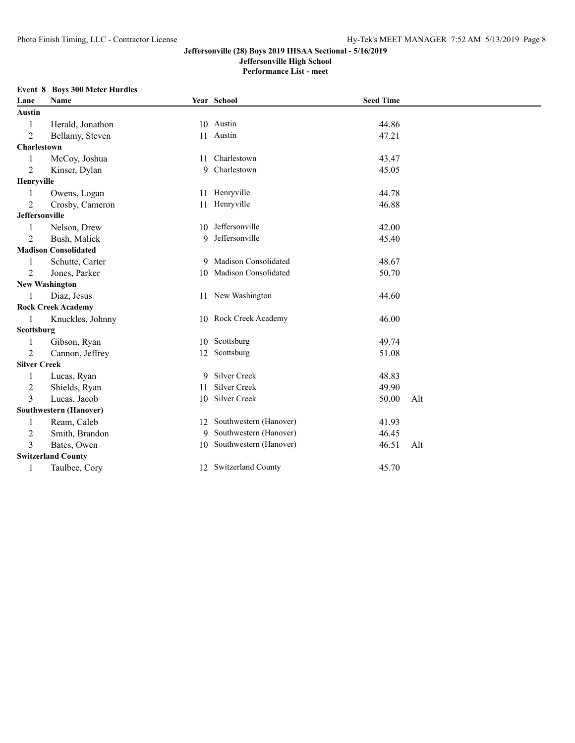**Jeffersonville High School**

**Performance List - meet**

### **Event 8 Boys 300 Meter Hurdles**

| Lane                  | Name                          |    | Year School               | <b>Seed Time</b> |     |
|-----------------------|-------------------------------|----|---------------------------|------------------|-----|
| Austin                |                               |    |                           |                  |     |
| 1                     | Herald, Jonathon              |    | 10 Austin                 | 44.86            |     |
| 2                     | Bellamy, Steven               |    | 11 Austin                 | 47.21            |     |
| Charlestown           |                               |    |                           |                  |     |
| 1                     | McCoy, Joshua                 | 11 | Charlestown               | 43.47            |     |
| $\overline{2}$        | Kinser, Dylan                 |    | 9 Charlestown             | 45.05            |     |
| Henryville            |                               |    |                           |                  |     |
| 1                     | Owens, Logan                  |    | 11 Henryville             | 44.78            |     |
| $\overline{2}$        | Crosby, Cameron               |    | 11 Henryville             | 46.88            |     |
| <b>Jeffersonville</b> |                               |    |                           |                  |     |
| $\mathbf{1}$          | Nelson, Drew                  | 10 | Jeffersonville            | 42.00            |     |
| 2                     | Bush, Maliek                  | 9  | Jeffersonville            | 45.40            |     |
|                       | <b>Madison Consolidated</b>   |    |                           |                  |     |
|                       | Schutte, Carter               |    | 9 Madison Consolidated    | 48.67            |     |
| $\overline{2}$        | Jones, Parker                 |    | 10 Madison Consolidated   | 50.70            |     |
|                       | <b>New Washington</b>         |    |                           |                  |     |
|                       | Diaz, Jesus                   |    | 11 New Washington         | 44.60            |     |
|                       | <b>Rock Creek Academy</b>     |    |                           |                  |     |
| 1                     | Knuckles, Johnny              |    | 10 Rock Creek Academy     | 46.00            |     |
| Scottsburg            |                               |    |                           |                  |     |
|                       | Gibson, Ryan                  |    | 10 Scottsburg             | 49.74            |     |
| 2                     | Cannon, Jeffrey               |    | 12 Scottsburg             | 51.08            |     |
| <b>Silver Creek</b>   |                               |    |                           |                  |     |
| 1                     | Lucas, Ryan                   | 9. | Silver Creek              | 48.83            |     |
| $\overline{c}$        | Shields, Ryan                 | 11 | Silver Creek              | 49.90            |     |
| 3                     | Lucas, Jacob                  | 10 | Silver Creek              | 50.00            | Alt |
|                       | <b>Southwestern (Hanover)</b> |    |                           |                  |     |
| 1                     | Ream, Caleb                   |    | 12 Southwestern (Hanover) | 41.93            |     |
| 2                     | Smith, Brandon                |    | 9 Southwestern (Hanover)  | 46.45            |     |
| 3                     | Bates, Owen                   |    | 10 Southwestern (Hanover) | 46.51            | Alt |
|                       | <b>Switzerland County</b>     |    |                           |                  |     |
| 1                     | Taulbee, Cory                 |    | 12 Switzerland County     | 45.70            |     |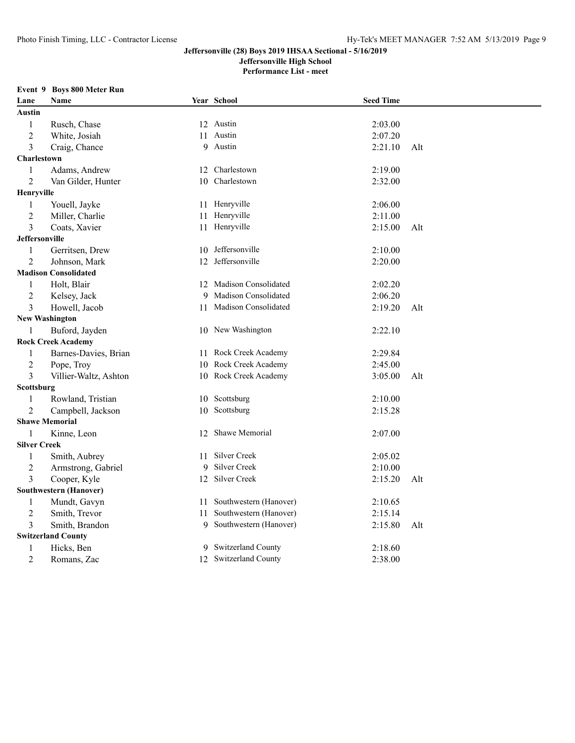**Jeffersonville High School**

**Performance List - meet**

#### **Event 9 Boys 800 Meter Run**

| Lane                | Name                          |    | Year School              | <b>Seed Time</b> |     |
|---------------------|-------------------------------|----|--------------------------|------------------|-----|
| Austin              |                               |    |                          |                  |     |
| $\mathbf{1}$        | Rusch, Chase                  |    | 12 Austin                | 2:03.00          |     |
| $\overline{2}$      | White, Josiah                 |    | 11 Austin                | 2:07.20          |     |
| 3                   | Craig, Chance                 |    | 9 Austin                 | 2:21.10          | Alt |
| Charlestown         |                               |    |                          |                  |     |
| 1                   | Adams, Andrew                 |    | 12 Charlestown           | 2:19.00          |     |
| $\overline{2}$      | Van Gilder, Hunter            |    | 10 Charlestown           | 2:32.00          |     |
| Henryville          |                               |    |                          |                  |     |
| 1                   | Youell, Jayke                 |    | 11 Henryville            | 2:06.00          |     |
| $\overline{2}$      | Miller, Charlie               | 11 | Henryville               | 2:11.00          |     |
| 3                   | Coats, Xavier                 |    | 11 Henryville            | 2:15.00          | Alt |
| Jeffersonville      |                               |    |                          |                  |     |
| $\mathbf{1}$        | Gerritsen, Drew               |    | 10 Jeffersonville        | 2:10.00          |     |
| $\overline{2}$      | Johnson, Mark                 |    | 12 Jeffersonville        | 2:20.00          |     |
|                     | <b>Madison Consolidated</b>   |    |                          |                  |     |
| 1                   | Holt, Blair                   |    | 12 Madison Consolidated  | 2:02.20          |     |
| $\overline{2}$      | Kelsey, Jack                  |    | 9 Madison Consolidated   | 2:06.20          |     |
| 3                   | Howell, Jacob                 |    | 11 Madison Consolidated  | 2:19.20          | Alt |
|                     | <b>New Washington</b>         |    |                          |                  |     |
| 1                   | Buford, Jayden                |    | 10 New Washington        | 2:22.10          |     |
|                     | <b>Rock Creek Academy</b>     |    |                          |                  |     |
| 1                   | Barnes-Davies, Brian          | 11 | Rock Creek Academy       | 2:29.84          |     |
| $\overline{c}$      | Pope, Troy                    |    | 10 Rock Creek Academy    | 2:45.00          |     |
| 3                   | Villier-Waltz, Ashton         |    | 10 Rock Creek Academy    | 3:05.00          | Alt |
| Scottsburg          |                               |    |                          |                  |     |
| 1                   | Rowland, Tristian             |    | 10 Scottsburg            | 2:10.00          |     |
| $\overline{2}$      | Campbell, Jackson             |    | 10 Scottsburg            | 2:15.28          |     |
|                     | <b>Shawe Memorial</b>         |    |                          |                  |     |
| 1                   | Kinne, Leon                   |    | 12 Shawe Memorial        | 2:07.00          |     |
| <b>Silver Creek</b> |                               |    |                          |                  |     |
| 1                   | Smith, Aubrey                 | 11 | Silver Creek             | 2:05.02          |     |
| $\overline{c}$      | Armstrong, Gabriel            | 9  | Silver Creek             | 2:10.00          |     |
| 3                   | Cooper, Kyle                  |    | 12 Silver Creek          | 2:15.20          | Alt |
|                     | <b>Southwestern (Hanover)</b> |    |                          |                  |     |
| 1                   | Mundt, Gavyn                  | 11 | Southwestern (Hanover)   | 2:10.65          |     |
| $\overline{c}$      | Smith, Trevor                 | 11 | Southwestern (Hanover)   | 2:15.14          |     |
| 3                   | Smith, Brandon                |    | 9 Southwestern (Hanover) | 2:15.80          | Alt |
|                     | <b>Switzerland County</b>     |    |                          |                  |     |
| 1                   | Hicks, Ben                    |    | 9 Switzerland County     | 2:18.60          |     |
| $\overline{2}$      | Romans, Zac                   |    | 12 Switzerland County    | 2:38.00          |     |
|                     |                               |    |                          |                  |     |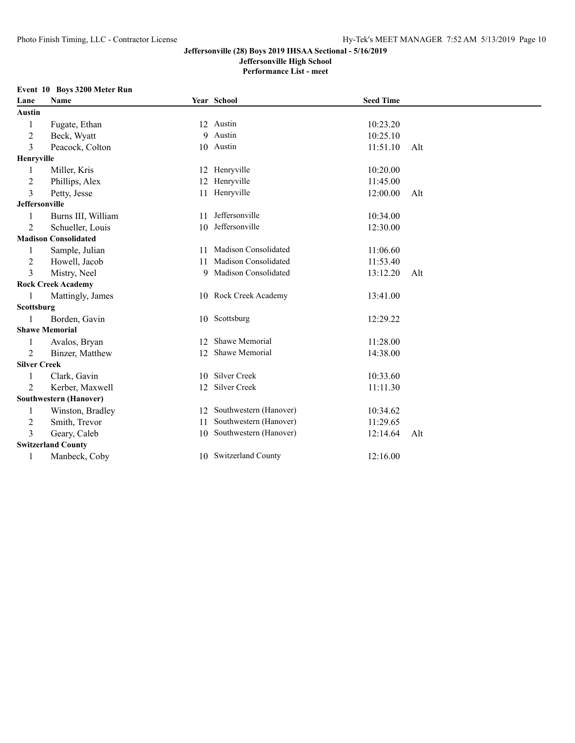**Jeffersonville High School**

**Performance List - meet**

#### **Event 10 Boys 3200 Meter Run**

| Lane                  | <b>Name</b>                   |    | Year School            | <b>Seed Time</b> |     |
|-----------------------|-------------------------------|----|------------------------|------------------|-----|
| <b>Austin</b>         |                               |    |                        |                  |     |
| 1                     | Fugate, Ethan                 |    | 12 Austin              | 10:23.20         |     |
| $\overline{c}$        | Beck, Wyatt                   |    | 9 Austin               | 10:25.10         |     |
| 3                     | Peacock, Colton               |    | 10 Austin              | 11:51.10         | Alt |
| Henryville            |                               |    |                        |                  |     |
|                       | Miller, Kris                  | 12 | Henryville             | 10:20.00         |     |
| $\overline{2}$        | Phillips, Alex                | 12 | Henryville             | 11:45.00         |     |
| 3                     | Petty, Jesse                  | 11 | Henryville             | 12:00.00         | Alt |
| <b>Jeffersonville</b> |                               |    |                        |                  |     |
|                       | Burns III, William            | 11 | Jeffersonville         | 10:34.00         |     |
| $\overline{2}$        | Schueller, Louis              | 10 | Jeffersonville         | 12:30.00         |     |
|                       | <b>Madison Consolidated</b>   |    |                        |                  |     |
| 1                     | Sample, Julian                | 11 | Madison Consolidated   | 11:06.60         |     |
| $\overline{2}$        | Howell, Jacob                 | 11 | Madison Consolidated   | 11:53.40         |     |
| 3                     | Mistry, Neel                  |    | 9 Madison Consolidated | 13:12.20         | Alt |
|                       | <b>Rock Creek Academy</b>     |    |                        |                  |     |
|                       | Mattingly, James              |    | 10 Rock Creek Academy  | 13:41.00         |     |
| Scottsburg            |                               |    |                        |                  |     |
|                       | Borden, Gavin                 |    | 10 Scottsburg          | 12:29.22         |     |
|                       | <b>Shawe Memorial</b>         |    |                        |                  |     |
|                       | Avalos, Bryan                 | 12 | Shawe Memorial         | 11:28.00         |     |
| $\overline{2}$        | Binzer, Matthew               | 12 | Shawe Memorial         | 14:38.00         |     |
| <b>Silver Creek</b>   |                               |    |                        |                  |     |
| 1                     | Clark, Gavin                  | 10 | Silver Creek           | 10:33.60         |     |
| $\overline{2}$        | Kerber, Maxwell               | 12 | Silver Creek           | 11:11.30         |     |
|                       | <b>Southwestern (Hanover)</b> |    |                        |                  |     |
| 1                     | Winston, Bradley              | 12 | Southwestern (Hanover) | 10:34.62         |     |
| $\overline{2}$        | Smith, Trevor                 | 11 | Southwestern (Hanover) | 11:29.65         |     |
| 3                     | Geary, Caleb                  | 10 | Southwestern (Hanover) | 12:14.64         | Alt |
|                       | <b>Switzerland County</b>     |    |                        |                  |     |
| 1                     | Manbeck, Coby                 |    | 10 Switzerland County  | 12:16.00         |     |
|                       |                               |    |                        |                  |     |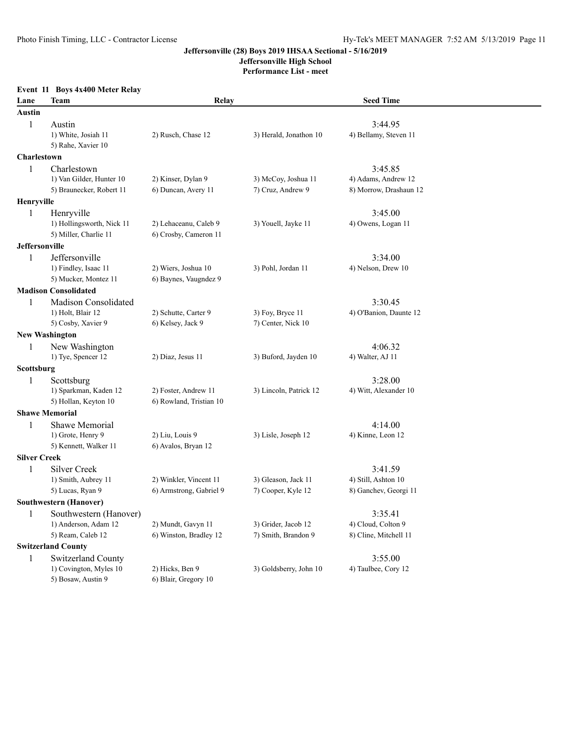**Jeffersonville High School**

**Performance List - meet**

|                     | Event 11 Boys 4x400 Meter Relay            |                                        |                        |                                |  |
|---------------------|--------------------------------------------|----------------------------------------|------------------------|--------------------------------|--|
| Lane                | Team                                       | Relay                                  |                        | <b>Seed Time</b>               |  |
| <b>Austin</b>       |                                            |                                        |                        |                                |  |
| $\mathbf{1}$        | Austin                                     |                                        |                        | 3:44.95                        |  |
|                     | 1) White, Josiah 11                        | 2) Rusch, Chase 12                     | 3) Herald, Jonathon 10 | 4) Bellamy, Steven 11          |  |
|                     | 5) Rahe, Xavier 10                         |                                        |                        |                                |  |
| Charlestown         |                                            |                                        |                        |                                |  |
| 1                   | Charlestown                                |                                        |                        | 3:45.85                        |  |
|                     | 1) Van Gilder, Hunter 10                   | 2) Kinser, Dylan 9                     | 3) McCoy, Joshua 11    | 4) Adams, Andrew 12            |  |
|                     | 5) Braunecker, Robert 11                   | 6) Duncan, Avery 11                    | 7) Cruz, Andrew 9      | 8) Morrow, Drashaun 12         |  |
| Henryville          |                                            |                                        |                        |                                |  |
| 1                   | Henryville                                 |                                        |                        | 3:45.00                        |  |
|                     | 1) Hollingsworth, Nick 11                  | 2) Lehaceanu, Caleb 9                  | 3) Youell, Jayke 11    | 4) Owens, Logan 11             |  |
|                     | 5) Miller, Charlie 11                      | 6) Crosby, Cameron 11                  |                        |                                |  |
| Jeffersonville      |                                            |                                        |                        |                                |  |
| 1                   | Jeffersonville                             |                                        |                        | 3:34.00                        |  |
|                     | 1) Findley, Isaac 11                       | 2) Wiers, Joshua 10                    | 3) Pohl, Jordan 11     | 4) Nelson, Drew 10             |  |
|                     | 5) Mucker, Montez 11                       | 6) Baynes, Vaugndez 9                  |                        |                                |  |
|                     | <b>Madison Consolidated</b>                |                                        |                        |                                |  |
| 1                   | Madison Consolidated                       |                                        |                        | 3:30.45                        |  |
|                     | 1) Holt, Blair 12                          | 2) Schutte, Carter 9                   | 3) Foy, Bryce 11       | 4) O'Banion, Daunte 12         |  |
|                     | 5) Cosby, Xavier 9                         | 6) Kelsey, Jack 9                      | 7) Center, Nick 10     |                                |  |
|                     | <b>New Washington</b>                      |                                        |                        |                                |  |
| 1                   | New Washington                             |                                        |                        | 4:06.32                        |  |
|                     | 1) Tye, Spencer 12                         | 2) Diaz, Jesus 11                      | 3) Buford, Jayden 10   | 4) Walter, AJ 11               |  |
| Scottsburg          |                                            |                                        |                        |                                |  |
| 1                   | Scottsburg                                 |                                        |                        | 3:28.00                        |  |
|                     | 1) Sparkman, Kaden 12                      | 2) Foster, Andrew 11                   | 3) Lincoln, Patrick 12 | 4) Witt, Alexander 10          |  |
|                     | 5) Hollan, Keyton 10                       | 6) Rowland, Tristian 10                |                        |                                |  |
|                     | <b>Shawe Memorial</b>                      |                                        |                        |                                |  |
| 1                   | Shawe Memorial                             |                                        |                        | 4:14.00                        |  |
|                     | 1) Grote, Henry 9<br>5) Kennett, Walker 11 | 2) Liu, Louis 9<br>6) Avalos, Bryan 12 | 3) Lisle, Joseph 12    | 4) Kinne, Leon 12              |  |
| <b>Silver Creek</b> |                                            |                                        |                        |                                |  |
|                     | <b>Silver Creek</b>                        |                                        |                        |                                |  |
| 1                   | 1) Smith, Aubrey 11                        | 2) Winkler, Vincent 11                 | 3) Gleason, Jack 11    | 3:41.59<br>4) Still, Ashton 10 |  |
|                     | 5) Lucas, Ryan 9                           | 6) Armstrong, Gabriel 9                | 7) Cooper, Kyle 12     | 8) Ganchev, Georgi 11          |  |
|                     | <b>Southwestern (Hanover)</b>              |                                        |                        |                                |  |
| $\mathbf{1}$        | Southwestern (Hanover)                     |                                        |                        | 3:35.41                        |  |
|                     | 1) Anderson, Adam 12                       | 2) Mundt, Gavyn 11                     | 3) Grider, Jacob 12    | 4) Cloud, Colton 9             |  |
|                     | 5) Ream, Caleb 12                          | 6) Winston, Bradley 12                 | 7) Smith, Brandon 9    | 8) Cline, Mitchell 11          |  |
|                     | <b>Switzerland County</b>                  |                                        |                        |                                |  |
| 1                   | Switzerland County                         |                                        |                        | 3:55.00                        |  |
|                     | 1) Covington, Myles 10                     | 2) Hicks, Ben 9                        | 3) Goldsberry, John 10 | 4) Taulbee, Cory 12            |  |
|                     | 5) Bosaw, Austin 9                         | 6) Blair, Gregory 10                   |                        |                                |  |
|                     |                                            |                                        |                        |                                |  |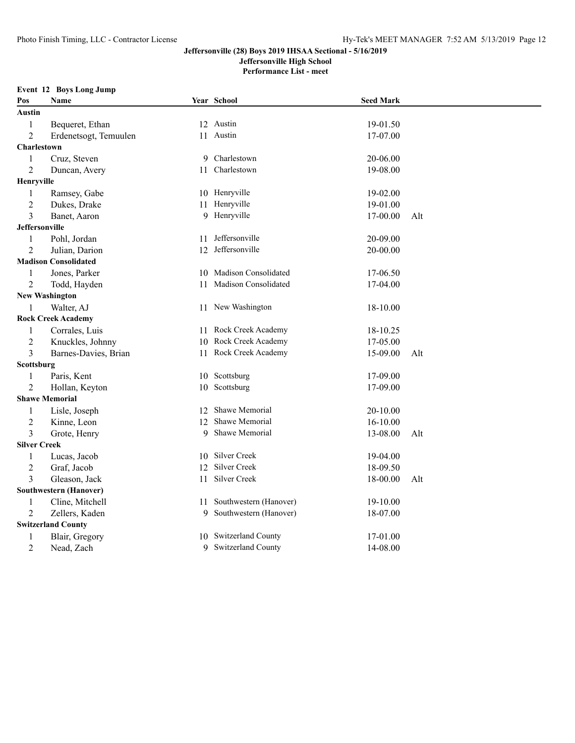**Jeffersonville High School**

**Performance List - meet**

#### **Event 12 Boys Long Jump**

| Pos                   | Name                          |    | Year School               | <b>Seed Mark</b> |     |
|-----------------------|-------------------------------|----|---------------------------|------------------|-----|
| Austin                |                               |    |                           |                  |     |
| 1                     | Bequeret, Ethan               |    | 12 Austin                 | 19-01.50         |     |
| $\overline{2}$        | Erdenetsogt, Temuulen         |    | 11 Austin                 | 17-07.00         |     |
| Charlestown           |                               |    |                           |                  |     |
| $\mathbf{1}$          | Cruz, Steven                  | 9  | Charlestown               | 20-06.00         |     |
| $\overline{2}$        | Duncan, Avery                 | 11 | Charlestown               | 19-08.00         |     |
| Henryville            |                               |    |                           |                  |     |
| 1                     | Ramsey, Gabe                  |    | 10 Henryville             | 19-02.00         |     |
| $\overline{2}$        | Dukes, Drake                  |    | 11 Henryville             | 19-01.00         |     |
| 3                     | Banet, Aaron                  |    | 9 Henryville              | 17-00.00         | Alt |
| Jeffersonville        |                               |    |                           |                  |     |
| 1                     | Pohl, Jordan                  | 11 | Jeffersonville            | 20-09.00         |     |
| $\overline{2}$        | Julian, Darion                |    | 12 Jeffersonville         | 20-00.00         |     |
|                       | <b>Madison Consolidated</b>   |    |                           |                  |     |
| 1                     | Jones, Parker                 | 10 | Madison Consolidated      | 17-06.50         |     |
| 2                     | Todd, Hayden                  |    | 11 Madison Consolidated   | 17-04.00         |     |
| <b>New Washington</b> |                               |    |                           |                  |     |
| 1                     | Walter, AJ                    |    | 11 New Washington         | 18-10.00         |     |
|                       | <b>Rock Creek Academy</b>     |    |                           |                  |     |
| 1                     | Corrales, Luis                |    | 11 Rock Creek Academy     | 18-10.25         |     |
| $\overline{2}$        | Knuckles, Johnny              | 10 | Rock Creek Academy        | 17-05.00         |     |
| 3                     | Barnes-Davies, Brian          |    | 11 Rock Creek Academy     | 15-09.00         | Alt |
| Scottsburg            |                               |    |                           |                  |     |
| 1                     | Paris, Kent                   |    | 10 Scottsburg             | 17-09.00         |     |
| $\overline{2}$        | Hollan, Keyton                | 10 | Scottsburg                | 17-09.00         |     |
| <b>Shawe Memorial</b> |                               |    |                           |                  |     |
| $\mathbf{1}$          | Lisle, Joseph                 | 12 | Shawe Memorial            | 20-10.00         |     |
| $\overline{2}$        | Kinne, Leon                   | 12 | Shawe Memorial            | 16-10.00         |     |
| 3                     | Grote, Henry                  | 9  | Shawe Memorial            | 13-08.00         | Alt |
| <b>Silver Creek</b>   |                               |    |                           |                  |     |
| 1                     | Lucas, Jacob                  | 10 | Silver Creek              | 19-04.00         |     |
| $\overline{2}$        | Graf, Jacob                   |    | 12 Silver Creek           | 18-09.50         |     |
| 3                     | Gleason, Jack                 |    | 11 Silver Creek           | 18-00.00         | Alt |
|                       | <b>Southwestern (Hanover)</b> |    |                           |                  |     |
| $\mathbf{1}$          | Cline, Mitchell               |    | 11 Southwestern (Hanover) | 19-10.00         |     |
| 2                     | Zellers, Kaden                | 9  | Southwestern (Hanover)    | 18-07.00         |     |
|                       | <b>Switzerland County</b>     |    |                           |                  |     |
| 1                     | Blair, Gregory                |    | 10 Switzerland County     | 17-01.00         |     |
| $\overline{2}$        | Nead, Zach                    |    | 9 Switzerland County      | 14-08.00         |     |
|                       |                               |    |                           |                  |     |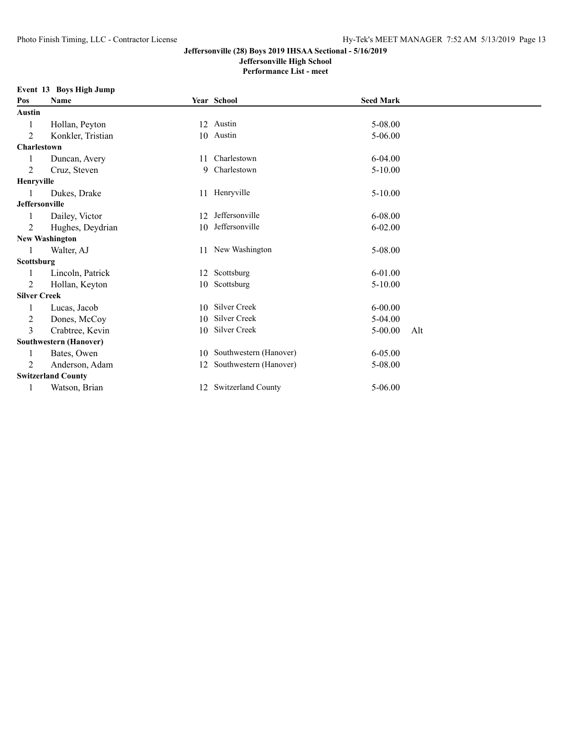# **Jeffersonville High School**

**Performance List - meet**

#### **Event 13 Boys High Jump**

| Pos                                                                                                                                                                      | Name                  |    | Year School            | <b>Seed Mark</b> |     |  |  |
|--------------------------------------------------------------------------------------------------------------------------------------------------------------------------|-----------------------|----|------------------------|------------------|-----|--|--|
| Austin                                                                                                                                                                   |                       |    |                        |                  |     |  |  |
|                                                                                                                                                                          | Hollan, Peyton        |    | 12 Austin              | 5-08.00          |     |  |  |
| 2                                                                                                                                                                        | Konkler, Tristian     |    | 10 Austin              | $5 - 06.00$      |     |  |  |
| <b>Charlestown</b>                                                                                                                                                       |                       |    |                        |                  |     |  |  |
| 1                                                                                                                                                                        | Duncan, Avery         | 11 | Charlestown            | $6 - 04.00$      |     |  |  |
| 2                                                                                                                                                                        | Cruz, Steven          | 9  | Charlestown            | $5-10.00$        |     |  |  |
| Henryville                                                                                                                                                               |                       |    |                        |                  |     |  |  |
|                                                                                                                                                                          | Dukes, Drake          |    | 11 Henryville          | $5-10.00$        |     |  |  |
| Jeffersonville                                                                                                                                                           |                       |    |                        |                  |     |  |  |
|                                                                                                                                                                          | Dailey, Victor        | 12 | Jeffersonville         | 6-08.00          |     |  |  |
| 2                                                                                                                                                                        | Hughes, Deydrian      | 10 | Jeffersonville         | $6 - 02.00$      |     |  |  |
|                                                                                                                                                                          | <b>New Washington</b> |    |                        |                  |     |  |  |
|                                                                                                                                                                          | Walter, AJ            |    | 11 New Washington      | 5-08.00          |     |  |  |
|                                                                                                                                                                          |                       |    |                        |                  |     |  |  |
|                                                                                                                                                                          | Lincoln, Patrick      | 12 | Scottsburg             | $6 - 01.00$      |     |  |  |
| 2                                                                                                                                                                        | Hollan, Keyton        | 10 |                        | $5 - 10.00$      |     |  |  |
|                                                                                                                                                                          |                       |    |                        |                  |     |  |  |
|                                                                                                                                                                          | Lucas, Jacob          |    | <b>Silver Creek</b>    | $6 - 00.00$      |     |  |  |
| 2                                                                                                                                                                        | Dones, McCoy          | 10 | Silver Creek           | $5-04.00$        |     |  |  |
| 3                                                                                                                                                                        | Crabtree, Kevin       | 10 | Silver Creek           | $5 - 00.00$      | Alt |  |  |
|                                                                                                                                                                          |                       |    |                        |                  |     |  |  |
|                                                                                                                                                                          | Bates, Owen           | 10 | Southwestern (Hanover) | 6-05.00          |     |  |  |
| 2                                                                                                                                                                        | Anderson, Adam        | 12 | Southwestern (Hanover) | 5-08.00          |     |  |  |
| Scottsburg<br>Scottsburg<br><b>Silver Creek</b><br>10<br><b>Southwestern (Hanover)</b><br><b>Switzerland County</b><br>12 Switzerland County<br>5-06.00<br>Watson, Brian |                       |    |                        |                  |     |  |  |
|                                                                                                                                                                          |                       |    |                        |                  |     |  |  |
|                                                                                                                                                                          |                       |    |                        |                  |     |  |  |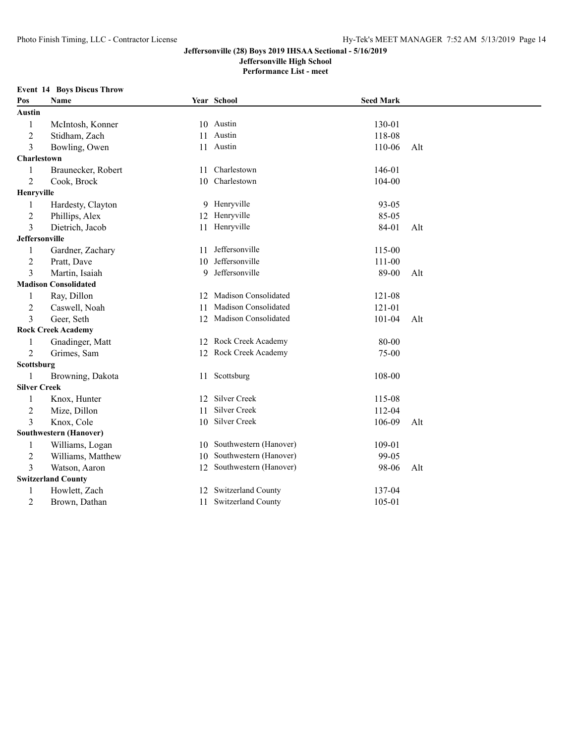### **Jeffersonville High School**

**Performance List - meet**

#### **Event 14 Boys Discus Throw**

| Pos                   | Name                          |    | Year School               | <b>Seed Mark</b> |     |
|-----------------------|-------------------------------|----|---------------------------|------------------|-----|
| Austin                |                               |    |                           |                  |     |
| 1                     | McIntosh, Konner              |    | 10 Austin                 | 130-01           |     |
| $\overline{c}$        | Stidham, Zach                 | 11 | Austin                    | 118-08           |     |
| 3                     | Bowling, Owen                 |    | 11 Austin                 | 110-06           | Alt |
| Charlestown           |                               |    |                           |                  |     |
| 1                     | Braunecker, Robert            | 11 | Charlestown               | 146-01           |     |
| $\overline{2}$        | Cook, Brock                   | 10 | Charlestown               | 104-00           |     |
| Henryville            |                               |    |                           |                  |     |
| 1                     | Hardesty, Clayton             |    | 9 Henryville              | 93-05            |     |
| $\overline{c}$        | Phillips, Alex                |    | 12 Henryville             | 85-05            |     |
| 3                     | Dietrich, Jacob               |    | 11 Henryville             | 84-01            | Alt |
| <b>Jeffersonville</b> |                               |    |                           |                  |     |
| 1                     | Gardner, Zachary              | 11 | Jeffersonville            | 115-00           |     |
| 2                     | Pratt, Dave                   | 10 | Jeffersonville            | 111-00           |     |
| 3                     | Martin, Isaiah                | 9  | Jeffersonville            | 89-00            | Alt |
|                       | <b>Madison Consolidated</b>   |    |                           |                  |     |
| 1                     | Ray, Dillon                   | 12 | Madison Consolidated      | 121-08           |     |
| $\overline{2}$        | Caswell, Noah                 | 11 | Madison Consolidated      | 121-01           |     |
| 3                     | Geer, Seth                    |    | 12 Madison Consolidated   | 101-04           | Alt |
|                       | <b>Rock Creek Academy</b>     |    |                           |                  |     |
| 1                     | Gnadinger, Matt               |    | 12 Rock Creek Academy     | 80-00            |     |
| $\overline{2}$        | Grimes, Sam                   |    | 12 Rock Creek Academy     | 75-00            |     |
| Scottsburg            |                               |    |                           |                  |     |
| 1                     | Browning, Dakota              |    | 11 Scottsburg             | 108-00           |     |
| <b>Silver Creek</b>   |                               |    |                           |                  |     |
| 1                     | Knox, Hunter                  | 12 | Silver Creek              | 115-08           |     |
| $\overline{c}$        | Mize, Dillon                  | 11 | Silver Creek              | 112-04           |     |
| 3                     | Knox, Cole                    |    | 10 Silver Creek           | 106-09           | Alt |
|                       | <b>Southwestern (Hanover)</b> |    |                           |                  |     |
| 1                     | Williams, Logan               |    | 10 Southwestern (Hanover) | 109-01           |     |
| 2                     | Williams, Matthew             | 10 | Southwestern (Hanover)    | 99-05            |     |
| 3                     | Watson, Aaron                 |    | 12 Southwestern (Hanover) | 98-06            | Alt |
|                       | <b>Switzerland County</b>     |    |                           |                  |     |
| 1                     | Howlett, Zach                 | 12 | Switzerland County        | 137-04           |     |
| 2                     | Brown, Dathan                 |    | 11 Switzerland County     | 105-01           |     |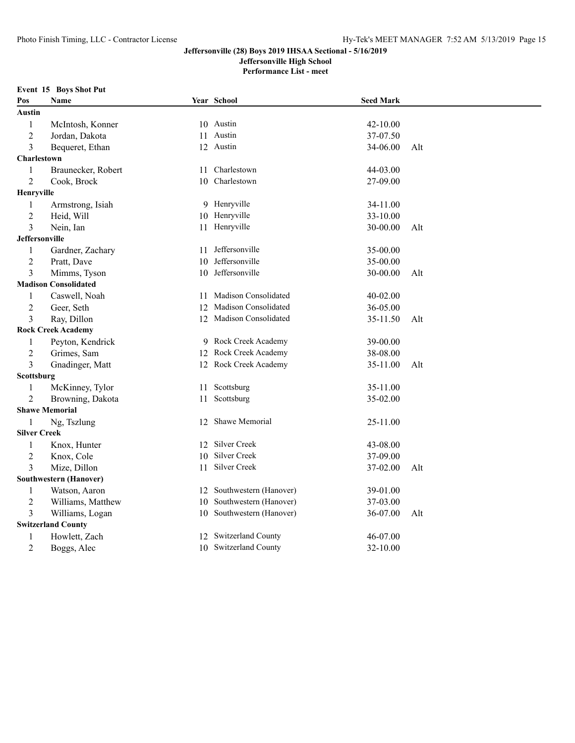### **Jeffersonville High School**

**Performance List - meet**

#### **Event 15 Boys Shot Put**

| Pos                   | Name                          |    | Year School             | <b>Seed Mark</b> |     |  |
|-----------------------|-------------------------------|----|-------------------------|------------------|-----|--|
| Austin                |                               |    |                         |                  |     |  |
| $\mathbf{1}$          | McIntosh, Konner              |    | 10 Austin               | 42-10.00         |     |  |
| $\overline{2}$        | Jordan, Dakota                |    | 11 Austin               | 37-07.50         |     |  |
| 3                     | Bequeret, Ethan               |    | 12 Austin               | 34-06.00         | Alt |  |
| <b>Charlestown</b>    |                               |    |                         |                  |     |  |
| 1                     | Braunecker, Robert            | 11 | Charlestown             | 44-03.00         |     |  |
| $\overline{2}$        | Cook, Brock                   | 10 | Charlestown             | 27-09.00         |     |  |
| Henryville            |                               |    |                         |                  |     |  |
| $\mathbf{1}$          | Armstrong, Isiah              |    | 9 Henryville            | 34-11.00         |     |  |
| $\overline{2}$        | Heid, Will                    |    | 10 Henryville           | 33-10.00         |     |  |
| 3                     | Nein, Ian                     |    | 11 Henryville           | 30-00.00         | Alt |  |
| <b>Jeffersonville</b> |                               |    |                         |                  |     |  |
| $\mathbf{1}$          | Gardner, Zachary              | 11 | Jeffersonville          | 35-00.00         |     |  |
| $\overline{c}$        | Pratt, Dave                   | 10 | Jeffersonville          | 35-00.00         |     |  |
| 3                     | Mimms, Tyson                  | 10 | Jeffersonville          | 30-00.00         | Alt |  |
|                       | <b>Madison Consolidated</b>   |    |                         |                  |     |  |
| 1                     | Caswell, Noah                 |    | 11 Madison Consolidated | 40-02.00         |     |  |
| $\overline{2}$        | Geer, Seth                    | 12 | Madison Consolidated    | 36-05.00         |     |  |
| 3                     | Ray, Dillon                   |    | 12 Madison Consolidated | 35-11.50         | Alt |  |
|                       | <b>Rock Creek Academy</b>     |    |                         |                  |     |  |
| 1                     | Peyton, Kendrick              |    | 9 Rock Creek Academy    | 39-00.00         |     |  |
| $\overline{2}$        | Grimes, Sam                   |    | 12 Rock Creek Academy   | 38-08.00         |     |  |
| 3                     | Gnadinger, Matt               |    | 12 Rock Creek Academy   | 35-11.00         | Alt |  |
| Scottsburg            |                               |    |                         |                  |     |  |
| $\mathbf{1}$          | McKinney, Tylor               | 11 | Scottsburg              | 35-11.00         |     |  |
| $\overline{2}$        | Browning, Dakota              | 11 | Scottsburg              | 35-02.00         |     |  |
|                       | <b>Shawe Memorial</b>         |    |                         |                  |     |  |
| 1                     | Ng, Tszlung                   | 12 | Shawe Memorial          | 25-11.00         |     |  |
| <b>Silver Creek</b>   |                               |    |                         |                  |     |  |
| 1                     | Knox, Hunter                  |    | 12 Silver Creek         | 43-08.00         |     |  |
| $\overline{2}$        | Knox, Cole                    | 10 | Silver Creek            | 37-09.00         |     |  |
| 3                     | Mize, Dillon                  | 11 | Silver Creek            | 37-02.00         | Alt |  |
|                       | <b>Southwestern (Hanover)</b> |    |                         |                  |     |  |
| 1                     | Watson, Aaron                 | 12 | Southwestern (Hanover)  | 39-01.00         |     |  |
| $\overline{2}$        | Williams, Matthew             | 10 | Southwestern (Hanover)  | 37-03.00         |     |  |
| 3                     | Williams, Logan               | 10 | Southwestern (Hanover)  | 36-07.00         | Alt |  |
|                       | <b>Switzerland County</b>     |    |                         |                  |     |  |
| 1                     | Howlett, Zach                 | 12 | Switzerland County      | 46-07.00         |     |  |
| $\overline{2}$        | Boggs, Alec                   |    | 10 Switzerland County   | 32-10.00         |     |  |
|                       |                               |    |                         |                  |     |  |